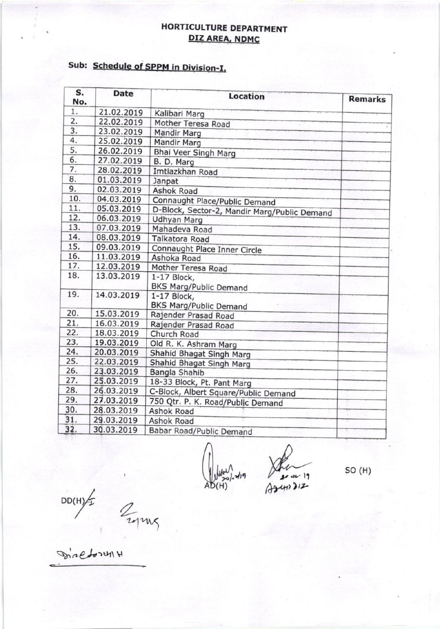## HORTICULTURE DEPARTMENT DIZ AREA, NDMC

## Sub: Schedule of SPPM in Division-I.

| S.<br>No. | <b>Date</b> | <b>Location</b>                              | <b>Remarks</b> |
|-----------|-------------|----------------------------------------------|----------------|
| 1.        | 21.02.2019  | Kalibari Marg                                |                |
| 2.        | 22.02.2019  | Mother Teresa Road                           |                |
| 3.        | 23.02.2019  | <b>Mandir Marg</b>                           |                |
| 4.        | 25.02.2019  | <b>Mandir Marg</b>                           |                |
| 5.        | 26.02.2019  | Bhai Veer Singh Marg                         |                |
| 6.        | 27.02.2019  | B. D. Marg                                   |                |
| 7.        | 28.02.2019  | Imtiazkhan Road                              |                |
| 8.        | 01.03.2019  | Janpat                                       |                |
| 9.        | 02.03.2019  | <b>Ashok Road</b>                            |                |
| 10.       | 04.03.2019  | Connaught Place/Public Demand                |                |
| 11.       | 05.03.2019  | D-Block, Sector-2, Mandir Marg/Public Demand |                |
| 12.       | 06.03.2019  | <b>Udhyan Marg</b>                           |                |
| 13.       | 07.03.2019  | Mahadeva Road                                |                |
| 14.       | 08.03.2019  | Talkatora Road                               |                |
| 15.       | 09.03.2019  | Connaught Place Inner Circle                 |                |
| 16.       | 11.03.2019  | Ashoka Road                                  |                |
| 17.       | 12.03.2019  | Mother Teresa Road                           |                |
| 18.       | 13.03.2019  | 1-17 Block,                                  |                |
|           |             | <b>BKS Marg/Public Demand</b>                |                |
| 19.       | 14.03.2019  | 1-17 Block,                                  |                |
|           |             | <b>BKS Marg/Public Demand</b>                |                |
| 20.       | 15.03.2019  | Rajender Prasad Road                         |                |
| 21.       | 16.03.2019  | Rajender Prasad Road                         |                |
| 22.       | 18.03.2019  | Church Road                                  |                |
| 23.       | 19.03.2019  | Old R. K. Ashram Marg                        |                |
| 24.       | 20.03.2019  | Shahid Bhagat Singh Marg                     |                |
| 25.       | 22.03.2019  | Shahid Bhagat Singh Marg                     |                |
| 26.       | 23.03.2019  | Bangla Shahib                                |                |
| 27.       | 25.03.2019  | 18-33 Block, Pt. Pant Marg                   |                |
| 28.       | 26.03.2019  | C-Block, Albert Square/Public Demand         |                |
| 29.       | 27.03.2019  | 750 Qtr. P. K. Road/Public Demand            |                |
| 30.       | 28.03.2019  | Ashok Road                                   |                |
| 31.       | 29.03.2019  | <b>Ashok Road</b>                            |                |
| 32.       | 30.03.2019  | Babar Road/Public Demand                     |                |

so (H)

 $DD(H)$   $AD(H)$   $AD(H)$ 

 $\frac{H}{2}$ 2012

 $S^{\prime}$  of  $C^{\prime}$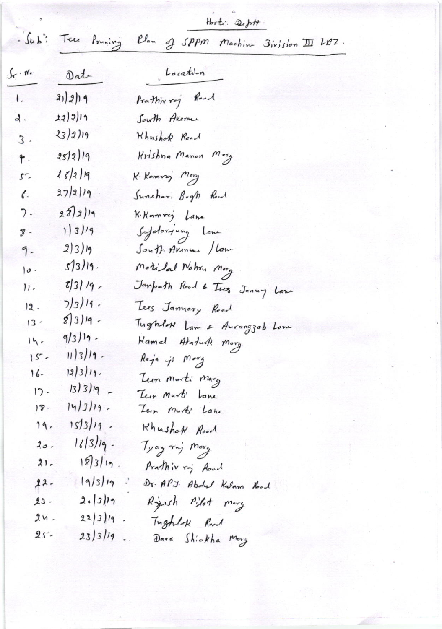Horti.  $2e^{j\pi}$ .

Sub: Tree Pouning Clan of SPPM Machine Division III LBZ.

| $\mathcal{C} \cdot \mathfrak{n}'$ | Dat                    | Location                      |
|-----------------------------------|------------------------|-------------------------------|
| $\mathbf{L}$                      | 21)2)19                | Prathivroj Road               |
| $\lambda$ .                       | 22) 2) 19              | South Avenue                  |
| $3$ .                             | 23/2)19                | Khushok Road                  |
| ۴.                                | 25/2/19                | Krishna Manon Morg            |
| 57                                | 16/2/9                 | K. Kamrej Mary                |
| $\mathcal{C}$                     | 27/2/19                | Sunshori Bogh Road            |
| 7.                                | 282)                   | K. Komrey Lane                |
| $\overline{8}$ -                  | 1 3 /9                 | Safetoryung Lone              |
| 9 -                               | $2 3 $ 19              | South Arine / Low             |
| o                                 | 5/3/19.                | Motilal Nahru Morg            |
| $\mathcal{V}$ .                   | $5/3/19$ -             | Janpath Road & Tres Januy Law |
| 12.                               | $7/3/19$ .             | Lees Janyary Road             |
| $ 3 -$                            | $8 3 $ 19.             | Tughlok Lam & Aurangzab Lam   |
| $14 -$                            | $9/3)$ <sup>1</sup> 9. | Kamal Ataturk morg            |
| $15 -$                            | $11/3/19$ .            | $Ray$ a ji $Mary$             |
| $16-$                             | $12/3/19$ .            | Tun musti marg                |
| 17 -                              | $13)319 -$             | Teen Murti Lane               |
| 18 -                              | $14/3119$ .            | Tem Murki Lane                |
| $19 -$                            | $15/3/19$ .            | Khushak Road                  |
| 20.                               | $16/3/19$ -            | Tyay raj Morg                 |
| $21-$                             | $183119$ .             | Prathiv ry Road               |
| $22-$                             | 9/3 19                 | Dr. APJ. Abdul Kalam Koad     |
| $23 -$                            | 2.319                  | Ryish Pilot mory              |
| 24.                               | 22)3)19                | Tughlok Road                  |
| $25 -$                            | 23)3/19                | Dara Shickha Morg             |